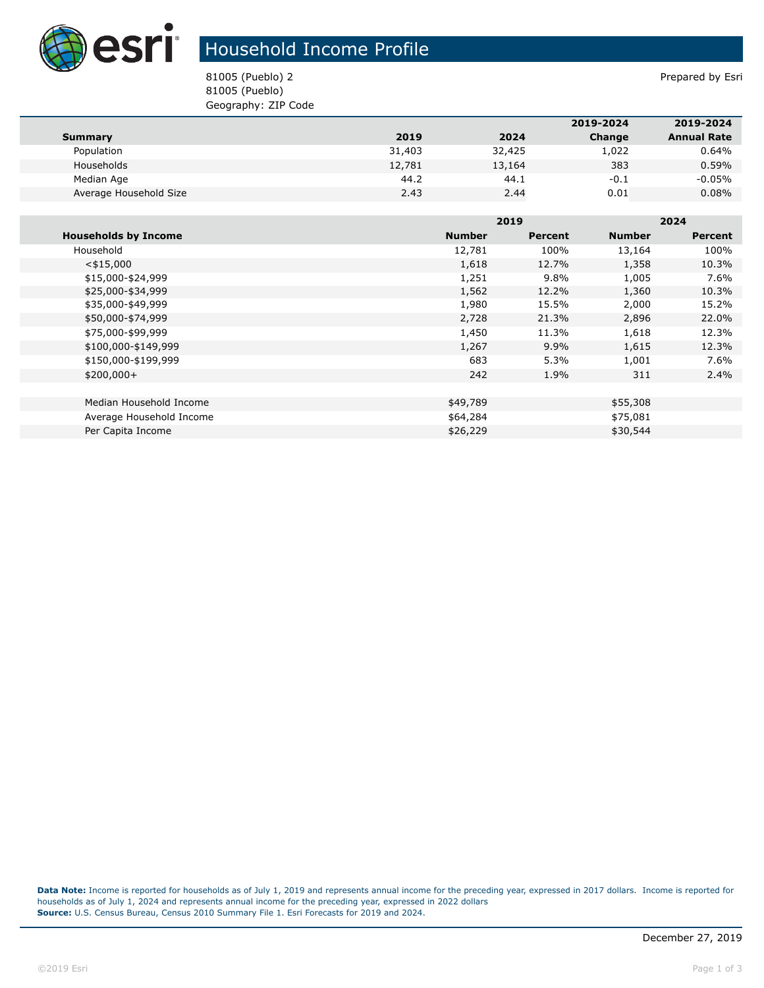

## Household Income Profile

81005 (Pueblo) 2 Prepared by Esri 81005 (Pueblo) Geography: ZIP Code

|                        |        |        | 2019-2024 | 2019-2024          |
|------------------------|--------|--------|-----------|--------------------|
| Summary                | 2019   | 2024   | Change    | <b>Annual Rate</b> |
| Population             | 31,403 | 32,425 | 1,022     | 0.64%              |
| Households             | 12,781 | 13,164 | 383       | 0.59%              |
| Median Age             | 44.2   | 44.1   | $-0.1$    | $-0.05\%$          |
| Average Household Size | 2.43   | 2.44   | 0.01      | $0.08\%$           |

|                             |               | 2019    |               | 2024    |  |
|-----------------------------|---------------|---------|---------------|---------|--|
| <b>Households by Income</b> | <b>Number</b> | Percent | <b>Number</b> | Percent |  |
| Household                   | 12,781        | 100%    | 13,164        | 100%    |  |
| $<$ \$15,000                | 1,618         | 12.7%   | 1,358         | 10.3%   |  |
| \$15,000-\$24,999           | 1,251         | 9.8%    | 1,005         | 7.6%    |  |
| \$25,000-\$34,999           | 1,562         | 12.2%   | 1,360         | 10.3%   |  |
| \$35,000-\$49,999           | 1,980         | 15.5%   | 2,000         | 15.2%   |  |
| \$50,000-\$74,999           | 2,728         | 21.3%   | 2,896         | 22.0%   |  |
| \$75,000-\$99,999           | 1,450         | 11.3%   | 1,618         | 12.3%   |  |
| \$100,000-\$149,999         | 1,267         | 9.9%    | 1,615         | 12.3%   |  |
| \$150,000-\$199,999         | 683           | 5.3%    | 1,001         | 7.6%    |  |
| $$200,000+$                 | 242           | 1.9%    | 311           | $2.4\%$ |  |
|                             |               |         |               |         |  |
| Median Household Income     | \$49,789      |         | \$55,308      |         |  |
| Average Household Income    | \$64,284      |         | \$75,081      |         |  |
| Per Capita Income           | \$26,229      |         | \$30,544      |         |  |

**Data Note:** Income is reported for households as of July 1, 2019 and represents annual income for the preceding year, expressed in 2017 dollars. Income is reported for households as of July 1, 2024 and represents annual income for the preceding year, expressed in 2022 dollars **Source:** U.S. Census Bureau, Census 2010 Summary File 1. Esri Forecasts for 2019 and 2024.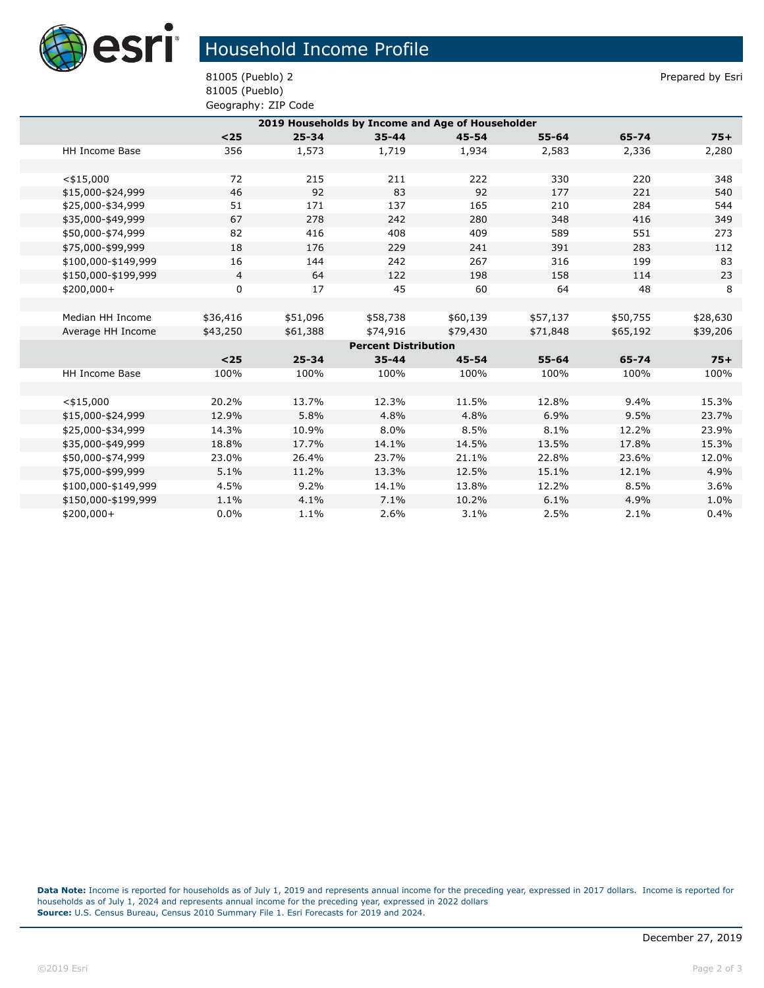

## Household Income Profile

81005 (Pueblo) 2 Prepared by Esri 81005 (Pueblo) Geography: ZIP Code

|                             | 2019 Households by Income and Age of Householder |                |           |           |           |           |          |          |
|-----------------------------|--------------------------------------------------|----------------|-----------|-----------|-----------|-----------|----------|----------|
|                             |                                                  | $25$           | $25 - 34$ | $35 - 44$ | $45 - 54$ | $55 - 64$ | 65-74    | $75+$    |
|                             | HH Income Base                                   | 356            | 1,573     | 1,719     | 1,934     | 2,583     | 2,336    | 2,280    |
|                             |                                                  |                |           |           |           |           |          |          |
|                             | $<$ \$15,000                                     | 72             | 215       | 211       | 222       | 330       | 220      | 348      |
|                             | \$15,000-\$24,999                                | 46             | 92        | 83        | 92        | 177       | 221      | 540      |
|                             | \$25,000-\$34,999                                | 51             | 171       | 137       | 165       | 210       | 284      | 544      |
|                             | \$35,000-\$49,999                                | 67             | 278       | 242       | 280       | 348       | 416      | 349      |
|                             | \$50,000-\$74,999                                | 82             | 416       | 408       | 409       | 589       | 551      | 273      |
|                             | \$75,000-\$99,999                                | 18             | 176       | 229       | 241       | 391       | 283      | 112      |
|                             | \$100,000-\$149,999                              | 16             | 144       | 242       | 267       | 316       | 199      | 83       |
|                             | \$150,000-\$199,999                              | $\overline{4}$ | 64        | 122       | 198       | 158       | 114      | 23       |
|                             | $$200,000+$                                      | 0              | 17        | 45        | 60        | 64        | 48       | 8        |
|                             |                                                  |                |           |           |           |           |          |          |
|                             | Median HH Income                                 | \$36,416       | \$51,096  | \$58,738  | \$60,139  | \$57,137  | \$50,755 | \$28,630 |
|                             | Average HH Income                                | \$43,250       | \$61,388  | \$74,916  | \$79,430  | \$71,848  | \$65,192 | \$39,206 |
| <b>Percent Distribution</b> |                                                  |                |           |           |           |           |          |          |
|                             |                                                  | $25$           | $25 - 34$ | $35 - 44$ | $45 - 54$ | $55 - 64$ | 65-74    | $75+$    |
|                             | <b>HH Income Base</b>                            | 100%           | 100%      | 100%      | 100%      | 100%      | 100%     | 100%     |
|                             |                                                  |                |           |           |           |           |          |          |
|                             | $<$ \$15,000                                     | 20.2%          | 13.7%     | 12.3%     | 11.5%     | 12.8%     | 9.4%     | 15.3%    |
|                             | \$15,000-\$24,999                                | 12.9%          | 5.8%      | 4.8%      | 4.8%      | 6.9%      | 9.5%     | 23.7%    |
|                             | \$25,000-\$34,999                                | 14.3%          | 10.9%     | 8.0%      | 8.5%      | 8.1%      | 12.2%    | 23.9%    |
|                             | \$35,000-\$49,999                                | 18.8%          | 17.7%     | 14.1%     | 14.5%     | 13.5%     | 17.8%    | 15.3%    |
|                             | \$50,000-\$74,999                                | 23.0%          | 26.4%     | 23.7%     | 21.1%     | 22.8%     | 23.6%    | 12.0%    |
|                             | \$75,000-\$99,999                                | 5.1%           | 11.2%     | 13.3%     | 12.5%     | 15.1%     | 12.1%    | 4.9%     |
|                             | \$100,000-\$149,999                              | 4.5%           | 9.2%      | 14.1%     | 13.8%     | 12.2%     | 8.5%     | 3.6%     |
|                             | \$150,000-\$199,999                              | 1.1%           | 4.1%      | 7.1%      | 10.2%     | 6.1%      | 4.9%     | 1.0%     |
|                             | \$200,000+                                       | 0.0%           | 1.1%      | 2.6%      | 3.1%      | 2.5%      | 2.1%     | 0.4%     |
|                             |                                                  |                |           |           |           |           |          |          |

**Data Note:** Income is reported for households as of July 1, 2019 and represents annual income for the preceding year, expressed in 2017 dollars. Income is reported for households as of July 1, 2024 and represents annual income for the preceding year, expressed in 2022 dollars **Source:** U.S. Census Bureau, Census 2010 Summary File 1. Esri Forecasts for 2019 and 2024.